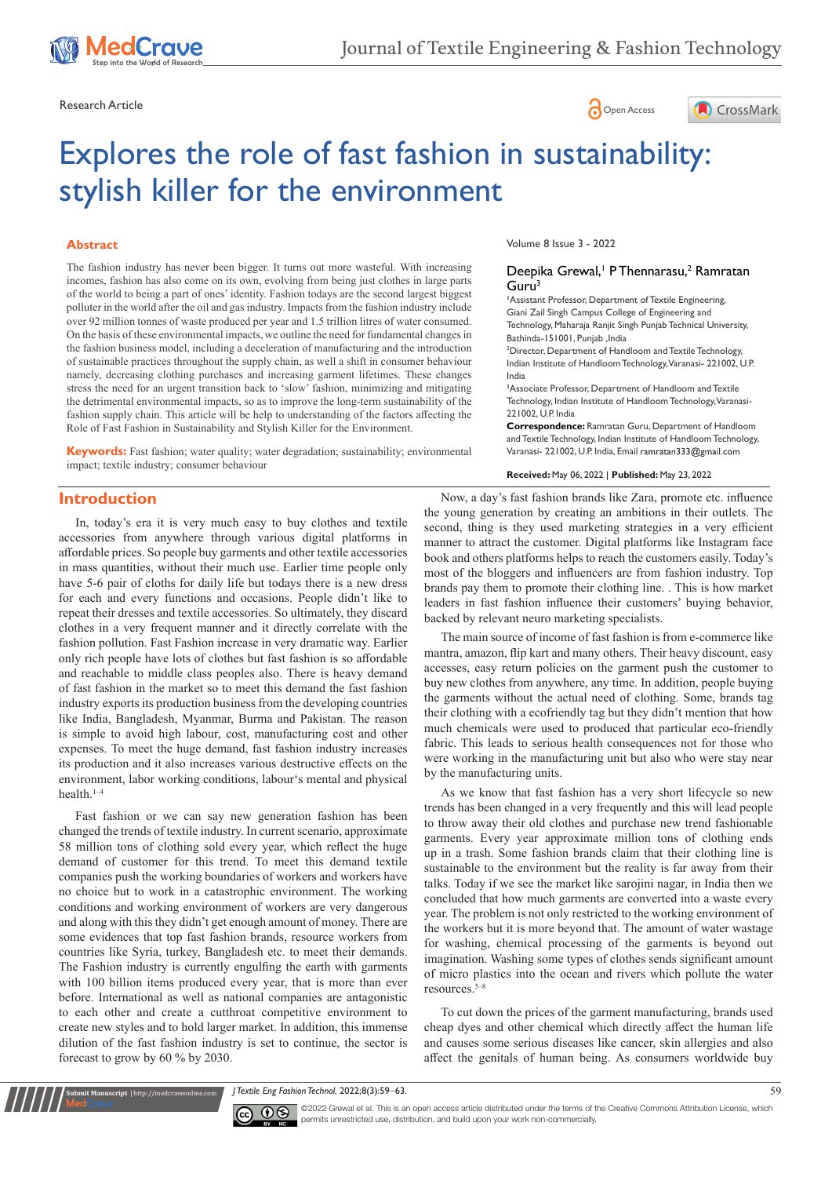





# Explores the role of fast fashion in sustainability: stylish killer for the environment

## **Abstract**

The fashion industry has never been bigger. It turns out more wasteful. With increasing incomes, fashion has also come on its own, evolving from being just clothes in large parts of the world to being a part of ones' identity. Fashion todays are the second largest biggest polluter in the world after the oil and gas industry. Impacts from the fashion industry include over 92 million tonnes of waste produced per year and 1.5 trillion litres of water consumed. On the basis of these environmental impacts, we outline the need for fundamental changes in the fashion business model, including a deceleration of manufacturing and the introduction of sustainable practices throughout the supply chain, as well a shift in consumer behaviour namely, decreasing clothing purchases and increasing garment lifetimes. These changes stress the need for an urgent transition back to 'slow' fashion, minimizing and mitigating the detrimental environmental impacts, so as to improve the long-term sustainability of the fashion supply chain. This article will be help to understanding of the factors affecting the Role of Fast Fashion in Sustainability and Stylish Killer for the Environment.

**Keywords:** Fast fashion; water quality; water degradation; sustainability; environmental impact; textile industry; consumer behaviour

#### Volume 8 Issue 3 - 2022

#### Deepika Grewal,<sup>1</sup> PThennarasu,<sup>2</sup> Ramratan  $Guru<sup>3</sup>$

**1** Assistant Professor, Department of Textile Engineering, Giani Zail Singh Campus College of Engineering and Technology, Maharaja Ranjit Singh Punjab Technical University, Bathinda-151001, Punjab ,India

2 Director, Department of Handloom and Textile Technology, Indian Institute of Handloom Technology, Varanasi- 221002, U.P. India

3 Associate Professor, Department of Handloom and Textile Technology, Indian Institute of Handloom Technology, Varanasi-221002, U.P. India

**Correspondence:** Ramratan Guru, Department of Handloom and Textile Technology, Indian Institute of Handloom Technology, Varanasi- 221002, U.P. India, Email ramratan333@gmail.com

#### **Received:** May 06, 2022 | **Published:** May 23, 2022

# **Introduction**

In, today's era it is very much easy to buy clothes and textile accessories from anywhere through various digital platforms in affordable prices. So people buy garments and other textile accessories in mass quantities, without their much use. Earlier time people only have 5-6 pair of cloths for daily life but todays there is a new dress for each and every functions and occasions. People didn't like to repeat their dresses and textile accessories. So ultimately, they discard clothes in a very frequent manner and it directly correlate with the fashion pollution. Fast Fashion increase in very dramatic way. Earlier only rich people have lots of clothes but fast fashion is so affordable and reachable to middle class peoples also. There is heavy demand of fast fashion in the market so to meet this demand the fast fashion industry exports its production business from the developing countries like India, Bangladesh, Myanmar, Burma and Pakistan. The reason is simple to avoid high labour, cost, manufacturing cost and other expenses. To meet the huge demand, fast fashion industry increases its production and it also increases various destructive effects on the environment, labor working conditions, labour's mental and physical health.1–4

Fast fashion or we can say new generation fashion has been changed the trends of textile industry. In current scenario, approximate 58 million tons of clothing sold every year, which reflect the huge demand of customer for this trend. To meet this demand textile companies push the working boundaries of workers and workers have no choice but to work in a catastrophic environment. The working conditions and working environment of workers are very dangerous and along with this they didn't get enough amount of money. There are some evidences that top fast fashion brands, resource workers from countries like Syria, turkey, Bangladesh etc. to meet their demands. The Fashion industry is currently engulfing the earth with garments with 100 billion items produced every year, that is more than ever before. International as well as national companies are antagonistic to each other and create a cutthroat competitive environment to create new styles and to hold larger market. In addition, this immense dilution of the fast fashion industry is set to continue, the sector is forecast to grow by 60 % by 2030.

Now, a day's fast fashion brands like Zara, promote etc. influence the young generation by creating an ambitions in their outlets. The second, thing is they used marketing strategies in a very efficient manner to attract the customer. Digital platforms like Instagram face book and others platforms helps to reach the customers easily. Today's most of the bloggers and influencers are from fashion industry. Top brands pay them to promote their clothing line. . This is how market leaders in fast fashion influence their customers' buying behavior, backed by relevant neuro marketing specialists.

The main source of income of fast fashion is from e-commerce like mantra, amazon, flip kart and many others. Their heavy discount, easy accesses, easy return policies on the garment push the customer to buy new clothes from anywhere, any time. In addition, people buying the garments without the actual need of clothing. Some, brands tag their clothing with a ecofriendly tag but they didn't mention that how much chemicals were used to produced that particular eco-friendly fabric. This leads to serious health consequences not for those who were working in the manufacturing unit but also who were stay near by the manufacturing units.

As we know that fast fashion has a very short lifecycle so new trends has been changed in a very frequently and this will lead people to throw away their old clothes and purchase new trend fashionable garments. Every year approximate million tons of clothing ends up in a trash. Some fashion brands claim that their clothing line is sustainable to the environment but the reality is far away from their talks. Today if we see the market like sarojini nagar, in India then we concluded that how much garments are converted into a waste every year. The problem is not only restricted to the working environment of the workers but it is more beyond that. The amount of water wastage for washing, chemical processing of the garments is beyond out imagination. Washing some types of clothes sends significant amount of micro plastics into the ocean and rivers which pollute the water resources.5–8

To cut down the prices of the garment manufacturing, brands used cheap dyes and other chemical which directly affect the human life and causes some serious diseases like cancer, skin allergies and also affect the genitals of human being. As consumers worldwide buy

*J Textile Eng Fashion Technol.* 2022;8(3):59‒63. 59



**nit Manuscript** | http://medcraveonline.c

©2022 Grewal et al. This is an open access article distributed under the terms of the Creative Commons Attribution License, which permits unrestricted use, distribution, and build upon your work non-commercially.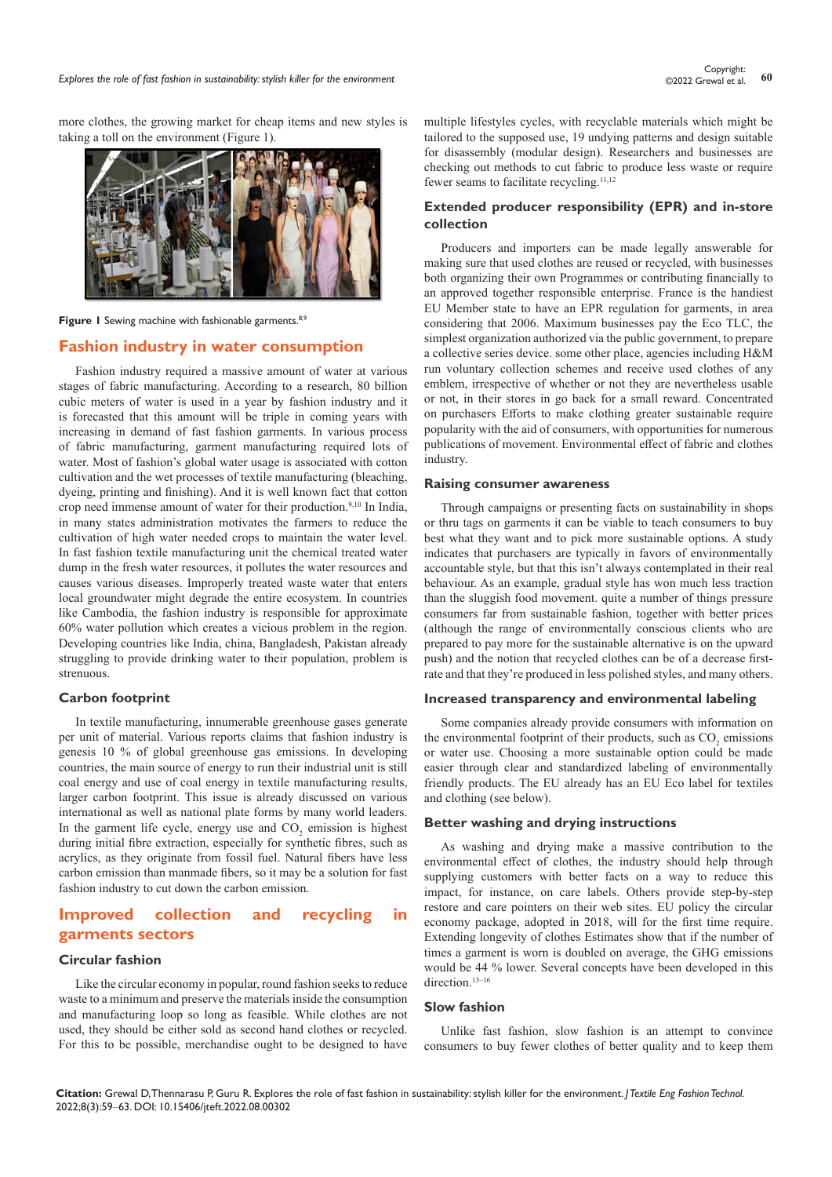*Explores the role of fast fashion in sustainability: stylish killer for the environment* **<sup>60</sup>** Copyright:

more clothes, the growing market for cheap items and new styles is taking a toll on the environment (Figure 1).



**Figure 1** Sewing machine with fashionable garments.<sup>8,9</sup>

# **Fashion industry in water consumption**

Fashion industry required a massive amount of water at various stages of fabric manufacturing. According to a research, 80 billion cubic meters of water is used in a year by fashion industry and it is forecasted that this amount will be triple in coming years with increasing in demand of fast fashion garments. In various process of fabric manufacturing, garment manufacturing required lots of water. Most of fashion's global water usage is associated with cotton cultivation and the wet processes of textile manufacturing (bleaching, dyeing, printing and finishing). And it is well known fact that cotton crop need immense amount of water for their production.<sup>9,10</sup> In India, in many states administration motivates the farmers to reduce the cultivation of high water needed crops to maintain the water level. In fast fashion textile manufacturing unit the chemical treated water dump in the fresh water resources, it pollutes the water resources and causes various diseases. Improperly treated waste water that enters local groundwater might degrade the entire ecosystem. In countries like Cambodia, the fashion industry is responsible for approximate 60% water pollution which creates a vicious problem in the region. Developing countries like India, china, Bangladesh, Pakistan already struggling to provide drinking water to their population, problem is strenuous.

## **Carbon footprint**

In textile manufacturing, innumerable greenhouse gases generate per unit of material. Various reports claims that fashion industry is genesis 10 % of global greenhouse gas emissions. In developing countries, the main source of energy to run their industrial unit is still coal energy and use of coal energy in textile manufacturing results, larger carbon footprint. This issue is already discussed on various international as well as national plate forms by many world leaders. In the garment life cycle, energy use and  $CO<sub>2</sub>$  emission is highest during initial fibre extraction, especially for synthetic fibres, such as acrylics, as they originate from fossil fuel. Natural fibers have less carbon emission than manmade fibers, so it may be a solution for fast fashion industry to cut down the carbon emission.

# **Improved collection and recycling in garments sectors**

# **Circular fashion**

Like the circular economy in popular, round fashion seeks to reduce waste to a minimum and preserve the materials inside the consumption and manufacturing loop so long as feasible. While clothes are not used, they should be either sold as second hand clothes or recycled. For this to be possible, merchandise ought to be designed to have

multiple lifestyles cycles, with recyclable materials which might be tailored to the supposed use, 19 undying patterns and design suitable for disassembly (modular design). Researchers and businesses are checking out methods to cut fabric to produce less waste or require fewer seams to facilitate recycling.<sup>11,12</sup>

# **Extended producer responsibility (EPR) and in-store collection**

Producers and importers can be made legally answerable for making sure that used clothes are reused or recycled, with businesses both organizing their own Programmes or contributing financially to an approved together responsible enterprise. France is the handiest EU Member state to have an EPR regulation for garments, in area considering that 2006. Maximum businesses pay the Eco TLC, the simplest organization authorized via the public government, to prepare a collective series device. some other place, agencies including H&M run voluntary collection schemes and receive used clothes of any emblem, irrespective of whether or not they are nevertheless usable or not, in their stores in go back for a small reward. Concentrated on purchasers Efforts to make clothing greater sustainable require popularity with the aid of consumers, with opportunities for numerous publications of movement. Environmental effect of fabric and clothes industry.

## **Raising consumer awareness**

Through campaigns or presenting facts on sustainability in shops or thru tags on garments it can be viable to teach consumers to buy best what they want and to pick more sustainable options. A study indicates that purchasers are typically in favors of environmentally accountable style, but that this isn't always contemplated in their real behaviour. As an example, gradual style has won much less traction than the sluggish food movement. quite a number of things pressure consumers far from sustainable fashion, together with better prices (although the range of environmentally conscious clients who are prepared to pay more for the sustainable alternative is on the upward push) and the notion that recycled clothes can be of a decrease firstrate and that they're produced in less polished styles, and many others.

# **Increased transparency and environmental labeling**

Some companies already provide consumers with information on the environmental footprint of their products, such as  $CO_2$  emissions or water use. Choosing a more sustainable option could be made easier through clear and standardized labeling of environmentally friendly products. The EU already has an EU Eco label for textiles and clothing (see below).

#### **Better washing and drying instructions**

As washing and drying make a massive contribution to the environmental effect of clothes, the industry should help through supplying customers with better facts on a way to reduce this impact, for instance, on care labels. Others provide step-by-step restore and care pointers on their web sites. EU policy the circular economy package, adopted in 2018, will for the first time require. Extending longevity of clothes Estimates show that if the number of times a garment is worn is doubled on average, the GHG emissions would be 44 % lower. Several concepts have been developed in this direction.<sup>13-16</sup>

#### **Slow fashion**

Unlike fast fashion, slow fashion is an attempt to convince consumers to buy fewer clothes of better quality and to keep them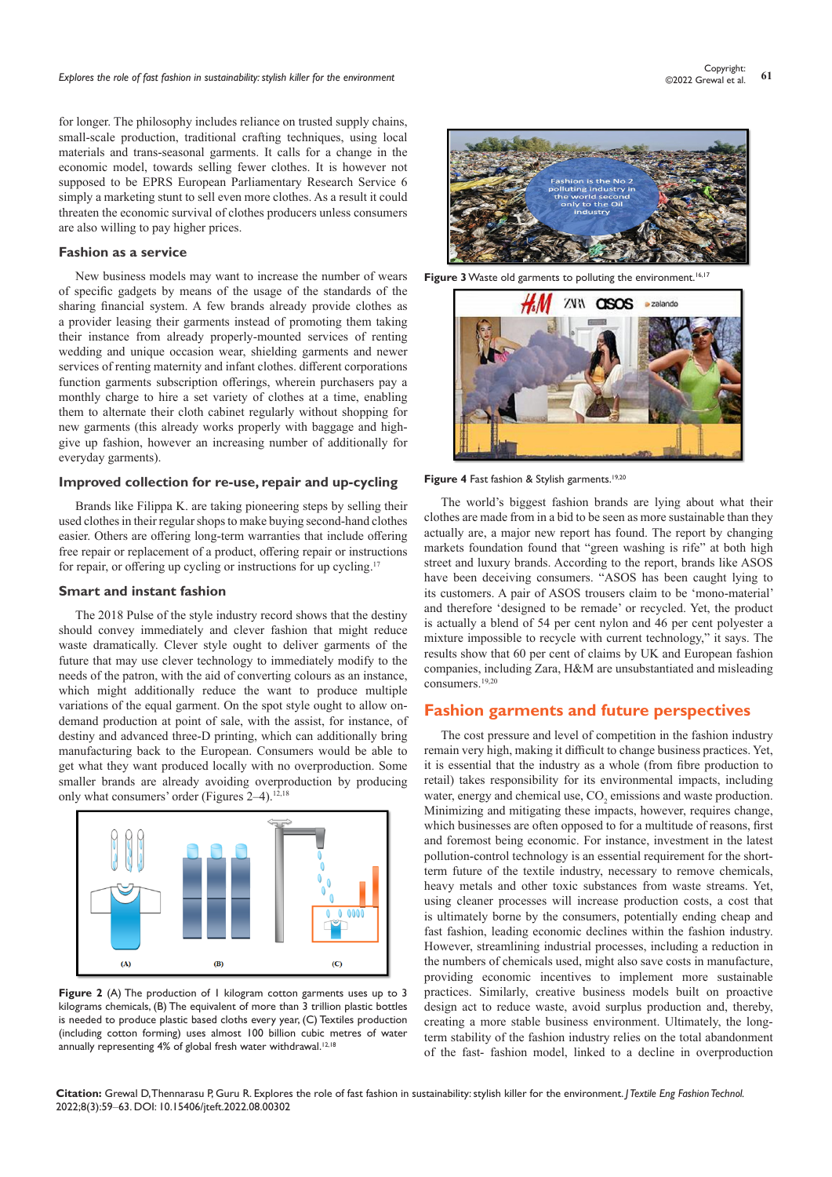for longer. The philosophy includes reliance on trusted supply chains, small-scale production, traditional crafting techniques, using local materials and trans-seasonal garments. It calls for a change in the economic model, towards selling fewer clothes. It is however not supposed to be EPRS European Parliamentary Research Service 6 simply a marketing stunt to sell even more clothes. As a result it could threaten the economic survival of clothes producers unless consumers are also willing to pay higher prices.

#### **Fashion as a service**

New business models may want to increase the number of wears of specific gadgets by means of the usage of the standards of the sharing financial system. A few brands already provide clothes as a provider leasing their garments instead of promoting them taking their instance from already properly-mounted services of renting wedding and unique occasion wear, shielding garments and newer services of renting maternity and infant clothes. different corporations function garments subscription offerings, wherein purchasers pay a monthly charge to hire a set variety of clothes at a time, enabling them to alternate their cloth cabinet regularly without shopping for new garments (this already works properly with baggage and highgive up fashion, however an increasing number of additionally for everyday garments).

# **Improved collection for re-use, repair and up-cycling**

Brands like Filippa K. are taking pioneering steps by selling their used clothes in their regular shops to make buying second-hand clothes easier. Others are offering long-term warranties that include offering free repair or replacement of a product, offering repair or instructions for repair, or offering up cycling or instructions for up cycling.<sup>17</sup>

#### **Smart and instant fashion**

The 2018 Pulse of the style industry record shows that the destiny should convey immediately and clever fashion that might reduce waste dramatically. Clever style ought to deliver garments of the future that may use clever technology to immediately modify to the needs of the patron, with the aid of converting colours as an instance, which might additionally reduce the want to produce multiple variations of the equal garment. On the spot style ought to allow ondemand production at point of sale, with the assist, for instance, of destiny and advanced three-D printing, which can additionally bring manufacturing back to the European. Consumers would be able to get what they want produced locally with no overproduction. Some smaller brands are already avoiding overproduction by producing only what consumers' order (Figures  $2-4$ ).<sup>12,18</sup>



**Figure 2** (A) The production of 1 kilogram cotton garments uses up to 3 kilograms chemicals, (B) The equivalent of more than 3 trillion plastic bottles is needed to produce plastic based cloths every year, (C) Textiles production (including cotton forming) uses almost 100 billion cubic metres of water annually representing 4% of global fresh water withdrawal.<sup>12,18</sup>



Figure 3 Waste old garments to polluting the environment.<sup>16,17</sup>



Figure 4 Fast fashion & Stylish garments.<sup>19,20</sup>

The world's biggest fashion brands are lying about what their clothes are made from in a bid to be seen as more sustainable than they actually are, a major new report has found. The report by changing markets foundation found that "green washing is rife" at both high street and luxury brands. According to the report, brands like ASOS have been deceiving consumers. "ASOS has been caught lying to its customers. A pair of ASOS trousers claim to be 'mono-material' and therefore 'designed to be remade' or recycled. Yet, the product is actually a blend of 54 per cent nylon and 46 per cent polyester a mixture impossible to recycle with current technology," it says. The results show that 60 per cent of claims by UK and European fashion companies, including Zara, H&M are unsubstantiated and misleading consumers.<sup>19,20</sup>

# **Fashion garments and future perspectives**

The cost pressure and level of competition in the fashion industry remain very high, making it difficult to change business practices. Yet, it is essential that the industry as a whole (from fibre production to retail) takes responsibility for its environmental impacts, including water, energy and chemical use,  $CO_2$  emissions and waste production. Minimizing and mitigating these impacts, however, requires change, which businesses are often opposed to for a multitude of reasons, first and foremost being economic. For instance, investment in the latest pollution-control technology is an essential requirement for the shortterm future of the textile industry, necessary to remove chemicals, heavy metals and other toxic substances from waste streams. Yet, using cleaner processes will increase production costs, a cost that is ultimately borne by the consumers, potentially ending cheap and fast fashion, leading economic declines within the fashion industry. However, streamlining industrial processes, including a reduction in the numbers of chemicals used, might also save costs in manufacture, providing economic incentives to implement more sustainable practices. Similarly, creative business models built on proactive design act to reduce waste, avoid surplus production and, thereby, creating a more stable business environment. Ultimately, the longterm stability of the fashion industry relies on the total abandonment of the fast- fashion model, linked to a decline in overproduction

**Citation:** Grewal D, Thennarasu P, Guru R. Explores the role of fast fashion in sustainability: stylish killer for the environment. *J Textile Eng Fashion Technol.* 2022;8(3):59‒63. DOI: [10.15406/jteft.2022.08.00302](https://doi.org/10.15406/jteft.2022.08.00302)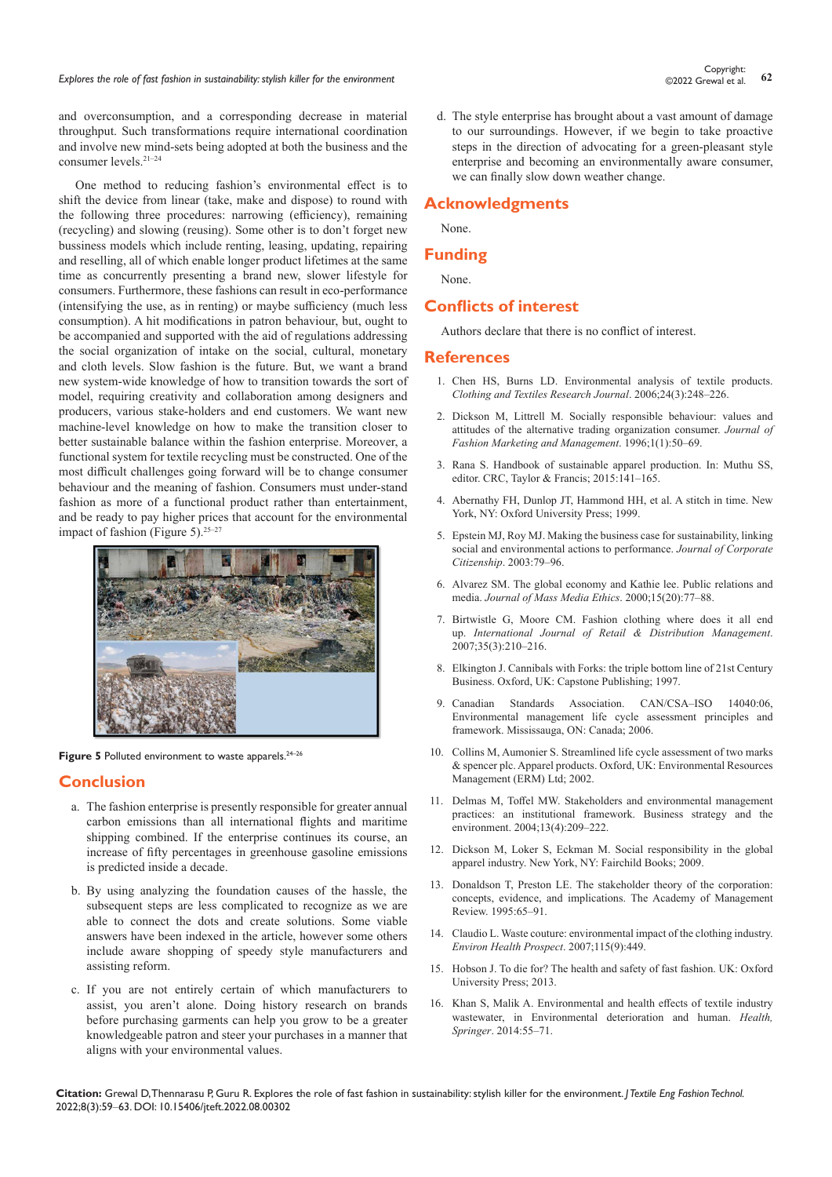# **Explores the role of fast fashion in sustainability: stylish killer for the environment 62** Copyright: **62** Copyright: **62** Copyright: **62** Copyright: **62** Copyright: **62** Copyright: **62** Copyright: **62** Copyright: **62**

and overconsumption, and a corresponding decrease in material throughput. Such transformations require international coordination and involve new mind-sets being adopted at both the business and the consumer levels.21–24

One method to reducing fashion's environmental effect is to shift the device from linear (take, make and dispose) to round with the following three procedures: narrowing (efficiency), remaining (recycling) and slowing (reusing). Some other is to don't forget new bussiness models which include renting, leasing, updating, repairing and reselling, all of which enable longer product lifetimes at the same time as concurrently presenting a brand new, slower lifestyle for consumers. Furthermore, these fashions can result in eco-performance (intensifying the use, as in renting) or maybe sufficiency (much less consumption). A hit modifications in patron behaviour, but, ought to be accompanied and supported with the aid of regulations addressing the social organization of intake on the social, cultural, monetary and cloth levels. Slow fashion is the future. But, we want a brand new system-wide knowledge of how to transition towards the sort of model, requiring creativity and collaboration among designers and producers, various stake-holders and end customers. We want new machine-level knowledge on how to make the transition closer to better sustainable balance within the fashion enterprise. Moreover, a functional system for textile recycling must be constructed. One of the most difficult challenges going forward will be to change consumer behaviour and the meaning of fashion. Consumers must under-stand fashion as more of a functional product rather than entertainment, and be ready to pay higher prices that account for the environmental impact of fashion (Figure 5).25–27



Figure 5 Polluted environment to waste apparels.<sup>24-26</sup>

#### **Conclusion**

- a. The fashion enterprise is presently responsible for greater annual carbon emissions than all international flights and maritime shipping combined. If the enterprise continues its course, an increase of fifty percentages in greenhouse gasoline emissions is predicted inside a decade.
- b. By using analyzing the foundation causes of the hassle, the subsequent steps are less complicated to recognize as we are able to connect the dots and create solutions. Some viable answers have been indexed in the article, however some others include aware shopping of speedy style manufacturers and assisting reform.
- c. If you are not entirely certain of which manufacturers to assist, you aren't alone. Doing history research on brands before purchasing garments can help you grow to be a greater knowledgeable patron and steer your purchases in a manner that aligns with your environmental values.

d. The style enterprise has brought about a vast amount of damage to our surroundings. However, if we begin to take proactive steps in the direction of advocating for a green-pleasant style enterprise and becoming an environmentally aware consumer, we can finally slow down weather change.

#### **Acknowledgments**

None.

# **Funding**

None.

# **Conflicts of interest**

Authors declare that there is no conflict of interest.

#### **References**

- 1. [Chen HS, Burns LD. Environmental analysis of textile products.](https://journals.sagepub.com/doi/abs/10.1177/0887302x06293065)  *[Clothing and Textiles Research Journal](https://journals.sagepub.com/doi/abs/10.1177/0887302x06293065)*. 2006;24(3):248–226.
- 2. [Dickson M, Littrell M. Socially responsible behaviour: values and](https://www.emerald.com/insight/content/doi/10.1108/eb022604/full/html)  [attitudes of the alternative trading organization consumer.](https://www.emerald.com/insight/content/doi/10.1108/eb022604/full/html) *Journal of [Fashion Marketing and Management](https://www.emerald.com/insight/content/doi/10.1108/eb022604/full/html)*. 1996;1(1):50–69.
- 3. [Rana S. Handbook of sustainable apparel production. In: Muthu SS,](https://www.routledge.com/Handbook-of-Sustainable-Apparel-Production/Muthu/p/book/9781482299373)  [editor. CRC, Taylor & Francis; 2015:141–165.](https://www.routledge.com/Handbook-of-Sustainable-Apparel-Production/Muthu/p/book/9781482299373)
- 4. [Abernathy FH, Dunlop JT, Hammond HH, et al. A stitch in time. New](https://global.oup.com/academic/product/a-stitch-in-time-9780195126150?cc=us&lang=en&)  [York, NY: Oxford University Press; 1999.](https://global.oup.com/academic/product/a-stitch-in-time-9780195126150?cc=us&lang=en&)
- 5. [Epstein MJ, Roy MJ. Making the business case for sustainability, linking](https://www.jstor.org/stable/jcorpciti.9.79)  [social and environmental actions to performance.](https://www.jstor.org/stable/jcorpciti.9.79) *Journal of Corporate Citizenship*[. 2003:79–96.](https://www.jstor.org/stable/jcorpciti.9.79)
- 6. [Alvarez SM. The global economy and Kathie lee. Public relations and](https://www.tandfonline.com/doi/abs/10.1207/S15327728JMME1502_2)  media. *[Journal of Mass Media Ethics](https://www.tandfonline.com/doi/abs/10.1207/S15327728JMME1502_2)*. 2000;15(20):77–88.
- 7. [Birtwistle G, Moore CM. Fashion clothing where does it all end](https://www.emerald.com/insight/content/doi/10.1108/09590550710735068/full/html)  up. *[International Journal of Retail & Distribution Management](https://www.emerald.com/insight/content/doi/10.1108/09590550710735068/full/html)*. [2007;35\(3\):210–216.](https://www.emerald.com/insight/content/doi/10.1108/09590550710735068/full/html)
- 8. [Elkington J. Cannibals with Forks: the triple bottom line of 21st Century](https://www.wiley.com/en-in/Cannibals+with+Forks:+The+Triple+Bottom+Line+of+21st+Century+Business-p-9781841120843)  [Business. Oxford, UK: Capstone Publishing; 1997.](https://www.wiley.com/en-in/Cannibals+with+Forks:+The+Triple+Bottom+Line+of+21st+Century+Business-p-9781841120843)
- 9. [Canadian Standards Association. CAN/CSA–ISO 14040:06,](https://www.iso.org/standard/37456.html)  [Environmental management life cycle assessment principles and](https://www.iso.org/standard/37456.html)  [framework. Mississauga, ON: Canada; 2006.](https://www.iso.org/standard/37456.html)
- 10. [Collins M, Aumonier S. Streamlined life cycle assessment of two marks](https://researchingsustainability.files.wordpress.com/2012/01/streamlined-lca-of-2-marks-spencer-pls-apparel-products.pdf)  [& spencer plc. Apparel products. Oxford, UK: Environmental Resources](https://researchingsustainability.files.wordpress.com/2012/01/streamlined-lca-of-2-marks-spencer-pls-apparel-products.pdf)  [Management \(ERM\) Ltd; 2002.](https://researchingsustainability.files.wordpress.com/2012/01/streamlined-lca-of-2-marks-spencer-pls-apparel-products.pdf)
- 11. [Delmas M, Toffel MW. Stakeholders and environmental management](https://onlinelibrary.wiley.com/doi/10.1002/bse.409)  [practices: an institutional framework. Business strategy and the](https://onlinelibrary.wiley.com/doi/10.1002/bse.409)  [environment. 2004;13\(4\):209–222.](https://onlinelibrary.wiley.com/doi/10.1002/bse.409)
- 12. [Dickson M, Loker S, Eckman M. Social responsibility in the global](https://www.bloomsbury.com/uk/social-responsibility-in-the-global-apparel-industry-9781563675928/)  [apparel industry. New York, NY: Fairchild Books; 2009.](https://www.bloomsbury.com/uk/social-responsibility-in-the-global-apparel-industry-9781563675928/)
- 13. [Donaldson T, Preston LE. The stakeholder theory of the corporation:](https://www.jstor.org/stable/258887?seq=1)  [concepts, evidence, and implications. The Academy of Management](https://www.jstor.org/stable/258887?seq=1)  [Review. 1995:65–91.](https://www.jstor.org/stable/258887?seq=1)
- 14. [Claudio L. Waste couture: environmental impact of the clothing industry.](https://ehp.niehs.nih.gov/doi/full/10.1289/ehp.115-a449)  *[Environ Health Prospect](https://ehp.niehs.nih.gov/doi/full/10.1289/ehp.115-a449)*. 2007;115(9):449.
- 15. [Hobson J. To die for? The health and safety of fast fashion. UK: Oxford](https://academic.oup.com/occmed/article/63/5/317/1451439)  [University Press; 2013.](https://academic.oup.com/occmed/article/63/5/317/1451439)
- 16. [Khan S, Malik A. Environmental and health effects of textile industry](https://link.springer.com/chapter/10.1007/978-94-007-7890-0_4)  [wastewater, in Environmental deterioration and human.](https://link.springer.com/chapter/10.1007/978-94-007-7890-0_4) *Health, Springer*[. 2014:55–71.](https://link.springer.com/chapter/10.1007/978-94-007-7890-0_4)

**Citation:** Grewal D, Thennarasu P, Guru R. Explores the role of fast fashion in sustainability: stylish killer for the environment. *J Textile Eng Fashion Technol.* 2022;8(3):59‒63. DOI: [10.15406/jteft.2022.08.00302](https://doi.org/10.15406/jteft.2022.08.00302)